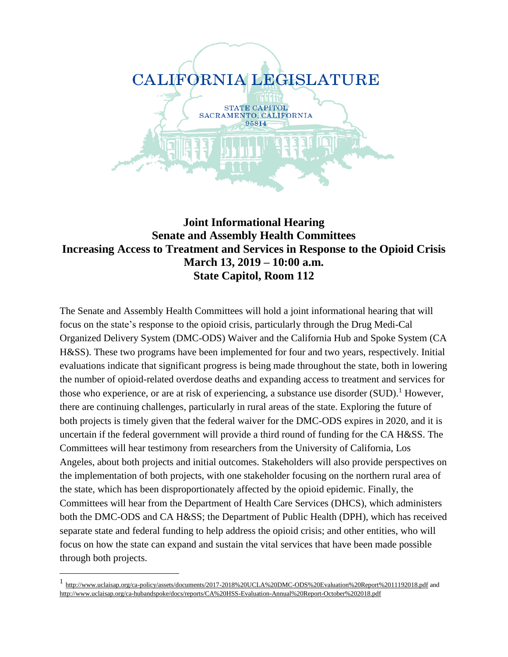

#### **Joint Informational Hearing Senate and Assembly Health Committees Increasing Access to Treatment and Services in Response to the Opioid Crisis March 13, 2019 – 10:00 a.m. State Capitol, Room 112**

The Senate and Assembly Health Committees will hold a joint informational hearing that will focus on the state's response to the opioid crisis, particularly through the Drug Medi-Cal Organized Delivery System (DMC-ODS) Waiver and the California Hub and Spoke System (CA H&SS). These two programs have been implemented for four and two years, respectively. Initial evaluations indicate that significant progress is being made throughout the state, both in lowering the number of opioid-related overdose deaths and expanding access to treatment and services for those who experience, or are at risk of experiencing, a substance use disorder  $(SUD)$ .<sup>1</sup> However, there are continuing challenges, particularly in rural areas of the state. Exploring the future of both projects is timely given that the federal waiver for the DMC-ODS expires in 2020, and it is uncertain if the federal government will provide a third round of funding for the CA H&SS. The Committees will hear testimony from researchers from the University of California, Los Angeles, about both projects and initial outcomes. Stakeholders will also provide perspectives on the implementation of both projects, with one stakeholder focusing on the northern rural area of the state, which has been disproportionately affected by the opioid epidemic. Finally, the Committees will hear from the Department of Health Care Services (DHCS), which administers both the DMC-ODS and CA H&SS; the Department of Public Health (DPH), which has received separate state and federal funding to help address the opioid crisis; and other entities, who will focus on how the state can expand and sustain the vital services that have been made possible through both projects.

<sup>&</sup>lt;sup>1</sup> <http://www.uclaisap.org/ca-policy/assets/documents/2017-2018%20UCLA%20DMC-ODS%20Evaluation%20Report%2011192018.pdf> and <http://www.uclaisap.org/ca-hubandspoke/docs/reports/CA%20HSS-Evaluation-Annual%20Report-October%202018.pdf>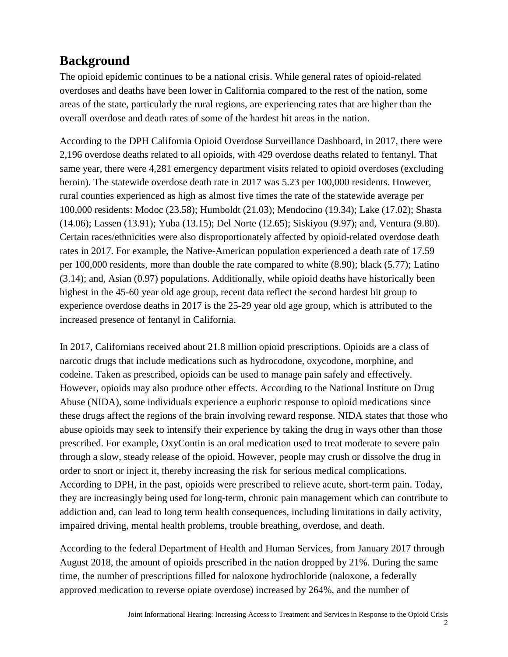# **Background**

The opioid epidemic continues to be a national crisis. While general rates of opioid-related overdoses and deaths have been lower in California compared to the rest of the nation, some areas of the state, particularly the rural regions, are experiencing rates that are higher than the overall overdose and death rates of some of the hardest hit areas in the nation.

According to the DPH California Opioid Overdose Surveillance Dashboard, in 2017, there were 2,196 overdose deaths related to all opioids, with 429 overdose deaths related to fentanyl. That same year, there were 4,281 emergency department visits related to opioid overdoses (excluding heroin). The statewide overdose death rate in 2017 was 5.23 per 100,000 residents. However, rural counties experienced as high as almost five times the rate of the statewide average per 100,000 residents: Modoc (23.58); Humboldt (21.03); Mendocino (19.34); Lake (17.02); Shasta (14.06); Lassen (13.91); Yuba (13.15); Del Norte (12.65); Siskiyou (9.97); and, Ventura (9.80). Certain races/ethnicities were also disproportionately affected by opioid-related overdose death rates in 2017. For example, the Native-American population experienced a death rate of 17.59 per 100,000 residents, more than double the rate compared to white (8.90); black (5.77); Latino (3.14); and, Asian (0.97) populations. Additionally, while opioid deaths have historically been highest in the 45-60 year old age group, recent data reflect the second hardest hit group to experience overdose deaths in 2017 is the 25-29 year old age group, which is attributed to the increased presence of fentanyl in California.

In 2017, Californians received about 21.8 million opioid prescriptions. Opioids are a class of narcotic drugs that include medications such as hydrocodone, oxycodone, morphine, and codeine. Taken as prescribed, opioids can be used to manage pain safely and effectively. However, opioids may also produce other effects. According to the National Institute on Drug Abuse (NIDA), some individuals experience a euphoric response to opioid medications since these drugs affect the regions of the brain involving reward response. NIDA states that those who abuse opioids may seek to intensify their experience by taking the drug in ways other than those prescribed. For example, OxyContin is an oral medication used to treat moderate to severe pain through a slow, steady release of the opioid. However, people may crush or dissolve the drug in order to snort or inject it, thereby increasing the risk for serious medical complications. According to DPH, in the past, opioids were prescribed to relieve acute, short-term pain. Today, they are increasingly being used for long-term, chronic pain management which can contribute to addiction and, can lead to long term health consequences, including limitations in daily activity, impaired driving, mental health problems, trouble breathing, overdose, and death.

According to the federal Department of Health and Human Services, from January 2017 through August 2018, the amount of opioids prescribed in the nation dropped by 21%. During the same time, the number of prescriptions filled for naloxone hydrochloride (naloxone, a federally approved medication to reverse opiate overdose) increased by 264%, and the number of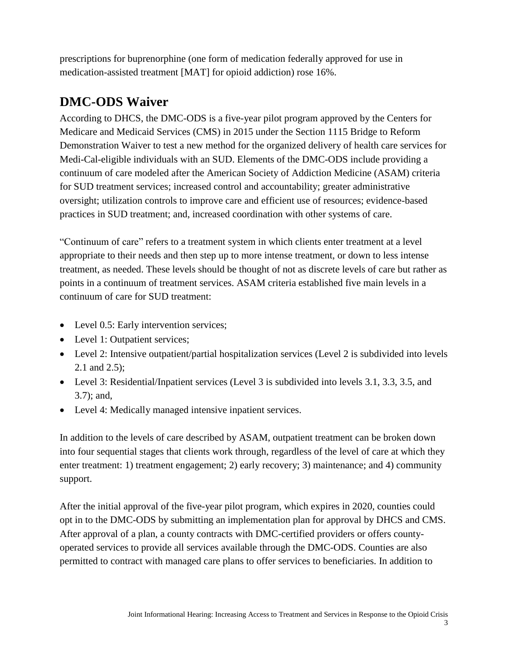prescriptions for buprenorphine (one form of medication federally approved for use in medication-assisted treatment [MAT] for opioid addiction) rose 16%.

# **DMC-ODS Waiver**

According to DHCS, the DMC-ODS is a five-year pilot program approved by the Centers for Medicare and Medicaid Services (CMS) in 2015 under the Section 1115 Bridge to Reform Demonstration Waiver to test a new method for the organized delivery of health care services for Medi-Cal-eligible individuals with an SUD. Elements of the DMC-ODS include providing a continuum of care modeled after the American Society of Addiction Medicine (ASAM) criteria for SUD treatment services; increased control and accountability; greater administrative oversight; utilization controls to improve care and efficient use of resources; evidence-based practices in SUD treatment; and, increased coordination with other systems of care.

"Continuum of care" refers to a treatment system in which clients enter treatment at a level appropriate to their needs and then step up to more intense treatment, or down to less intense treatment, as needed. These levels should be thought of not as discrete levels of care but rather as points in a continuum of treatment services. ASAM criteria established five main levels in a continuum of care for SUD treatment:

- Level 0.5: Early intervention services;
- Level 1: Outpatient services;
- Level 2: Intensive outpatient/partial hospitalization services (Level 2 is subdivided into levels 2.1 and 2.5);
- Level 3: Residential/Inpatient services (Level 3 is subdivided into levels 3.1, 3.3, 3.5, and 3.7); and,
- Level 4: Medically managed intensive inpatient services.

In addition to the levels of care described by ASAM, outpatient treatment can be broken down into four sequential stages that clients work through, regardless of the level of care at which they enter treatment: 1) treatment engagement; 2) early recovery; 3) maintenance; and 4) community support.

After the initial approval of the five-year pilot program, which expires in 2020, counties could opt in to the DMC-ODS by submitting an implementation plan for approval by DHCS and CMS. After approval of a plan, a county contracts with DMC-certified providers or offers countyoperated services to provide all services available through the DMC-ODS. Counties are also permitted to contract with managed care plans to offer services to beneficiaries. In addition to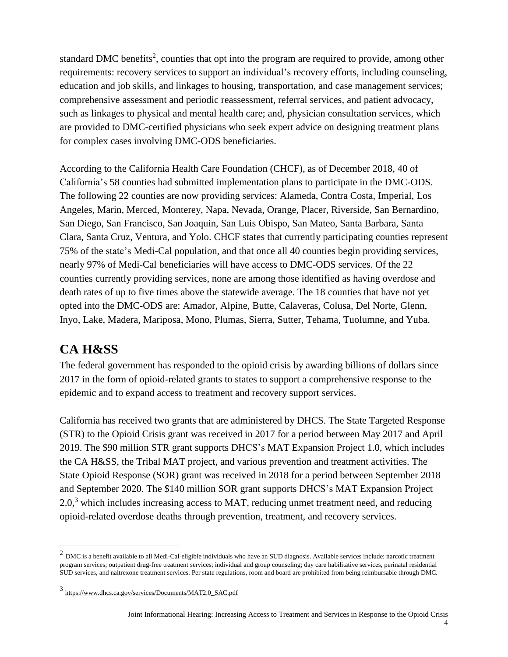standard DMC benefits<sup>2</sup>, counties that opt into the program are required to provide, among other requirements: recovery services to support an individual's recovery efforts, including counseling, education and job skills, and linkages to housing, transportation, and case management services; comprehensive assessment and periodic reassessment, referral services, and patient advocacy, such as linkages to physical and mental health care; and, physician consultation services, which are provided to DMC-certified physicians who seek expert advice on designing treatment plans for complex cases involving DMC-ODS beneficiaries.

According to the California Health Care Foundation (CHCF), as of December 2018, 40 of California's 58 counties had submitted implementation plans to participate in the DMC-ODS. The following 22 counties are now providing services: Alameda, Contra Costa, Imperial, Los Angeles, Marin, Merced, Monterey, Napa, Nevada, Orange, Placer, Riverside, San Bernardino, San Diego, San Francisco, San Joaquin, San Luis Obispo, San Mateo, Santa Barbara, Santa Clara, Santa Cruz, Ventura, and Yolo. CHCF states that currently participating counties represent 75% of the state's Medi-Cal population, and that once all 40 counties begin providing services, nearly 97% of Medi-Cal beneficiaries will have access to DMC-ODS services. Of the 22 counties currently providing services, none are among those identified as having overdose and death rates of up to five times above the statewide average. The 18 counties that have not yet opted into the DMC-ODS are: Amador, Alpine, Butte, Calaveras, Colusa, Del Norte, Glenn, Inyo, Lake, Madera, Mariposa, Mono, Plumas, Sierra, Sutter, Tehama, Tuolumne, and Yuba.

#### **CA H&SS**

 $\overline{a}$ 

The federal government has responded to the opioid crisis by awarding billions of dollars since 2017 in the form of opioid-related grants to states to support a comprehensive response to the epidemic and to expand access to treatment and recovery support services.

California has received two grants that are administered by DHCS. The State Targeted Response (STR) to the Opioid Crisis grant was received in 2017 for a period between May 2017 and April 2019. The \$90 million STR grant supports DHCS's MAT Expansion Project 1.0, which includes the CA H&SS, the Tribal MAT project, and various prevention and treatment activities. The State Opioid Response (SOR) grant was received in 2018 for a period between September 2018 and September 2020. The \$140 million SOR grant supports DHCS's MAT Expansion Project  $2.0<sup>3</sup>$  which includes increasing access to MAT, reducing unmet treatment need, and reducing opioid-related overdose deaths through prevention, treatment, and recovery services.

 $^2$  DMC is a benefit available to all Medi-Cal-eligible individuals who have an SUD diagnosis. Available services include: narcotic treatment program services; outpatient drug-free treatment services; individual and group counseling; day care habilitative services, perinatal residential SUD services, and naltrexone treatment services. Per state regulations, room and board are prohibited from being reimbursable through DMC.

<sup>3</sup> [https://www.dhcs.ca.gov/services/Documents/MAT2.0\\_SAC.pdf](https://www.dhcs.ca.gov/services/Documents/MAT2.0_SAC.pdf)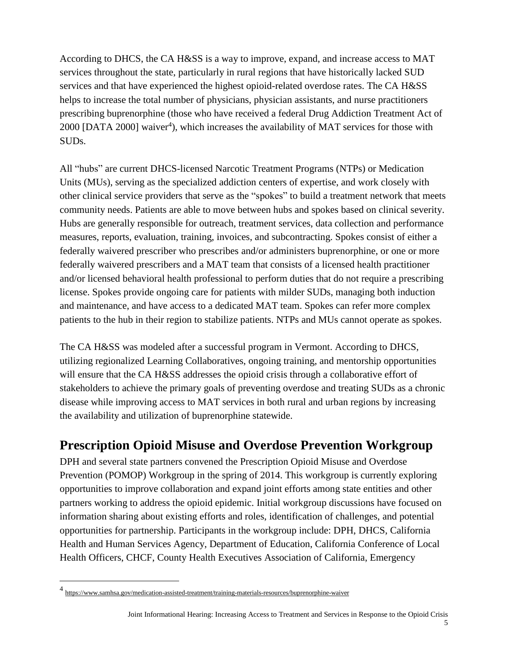According to DHCS, the CA H&SS is a way to improve, expand, and increase access to MAT services throughout the state, particularly in rural regions that have historically lacked SUD services and that have experienced the highest opioid-related overdose rates. The CA H&SS helps to increase the total number of physicians, physician assistants, and nurse practitioners prescribing buprenorphine (those who have received a federal Drug Addiction Treatment Act of 2000 [DATA 2000] waiver<sup>4</sup>), which increases the availability of MAT services for those with SUDs.

All "hubs" are current DHCS-licensed Narcotic Treatment Programs (NTPs) or Medication Units (MUs), serving as the specialized addiction centers of expertise, and work closely with other clinical service providers that serve as the "spokes" to build a treatment network that meets community needs. Patients are able to move between hubs and spokes based on clinical severity. Hubs are generally responsible for outreach, treatment services, data collection and performance measures, reports, evaluation, training, invoices, and subcontracting. Spokes consist of either a federally waivered prescriber who prescribes and/or administers buprenorphine, or one or more federally waivered prescribers and a MAT team that consists of a licensed health practitioner and/or licensed behavioral health professional to perform duties that do not require a prescribing license. Spokes provide ongoing care for patients with milder SUDs, managing both induction and maintenance, and have access to a dedicated MAT team. Spokes can refer more complex patients to the hub in their region to stabilize patients. NTPs and MUs cannot operate as spokes.

The CA H&SS was modeled after a successful program in Vermont. According to DHCS, utilizing regionalized Learning Collaboratives, ongoing training, and mentorship opportunities will ensure that the CA H&SS addresses the opioid crisis through a collaborative effort of stakeholders to achieve the primary goals of preventing overdose and treating SUDs as a chronic disease while improving access to MAT services in both rural and urban regions by increasing the availability and utilization of buprenorphine statewide.

### **Prescription Opioid Misuse and Overdose Prevention Workgroup**

DPH and several state partners convened the Prescription Opioid Misuse and Overdose Prevention (POMOP) Workgroup in the spring of 2014. This workgroup is currently exploring opportunities to improve collaboration and expand joint efforts among state entities and other partners working to address the opioid epidemic. Initial workgroup discussions have focused on information sharing about existing efforts and roles, identification of challenges, and potential opportunities for partnership. Participants in the workgroup include: DPH, DHCS, California Health and Human Services Agency, Department of Education, California Conference of Local Health Officers, CHCF, County Health Executives Association of California, Emergency

<sup>4&</sup>lt;br><https://www.samhsa.gov/medication-assisted-treatment/training-materials-resources/buprenorphine-waiver>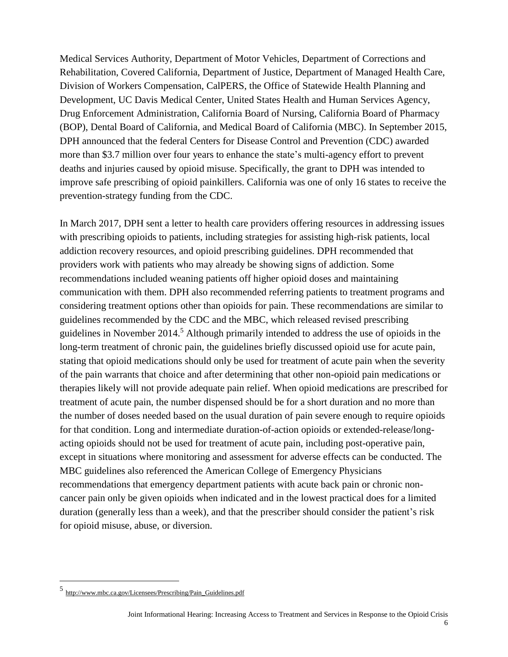Medical Services Authority, Department of Motor Vehicles, Department of Corrections and Rehabilitation, Covered California, Department of Justice, Department of Managed Health Care, Division of Workers Compensation, CalPERS, the Office of Statewide Health Planning and Development, UC Davis Medical Center, United States Health and Human Services Agency, Drug Enforcement Administration, California Board of Nursing, California Board of Pharmacy (BOP), Dental Board of California, and Medical Board of California (MBC). In September 2015, DPH announced that the federal Centers for Disease Control and Prevention (CDC) awarded more than \$3.7 million over four years to enhance the state's multi-agency effort to prevent deaths and injuries caused by opioid misuse. Specifically, the grant to DPH was intended to improve safe prescribing of opioid painkillers. California was one of only 16 states to receive the prevention-strategy funding from the CDC.

In March 2017, DPH sent a letter to health care providers offering resources in addressing issues with prescribing opioids to patients, including strategies for assisting high-risk patients, local addiction recovery resources, and opioid prescribing guidelines. DPH recommended that providers work with patients who may already be showing signs of addiction. Some recommendations included weaning patients off higher opioid doses and maintaining communication with them. DPH also recommended referring patients to treatment programs and considering treatment options other than opioids for pain. These recommendations are similar to guidelines recommended by the CDC and the MBC, which released revised prescribing guidelines in November 2014.<sup>5</sup> Although primarily intended to address the use of opioids in the long-term treatment of chronic pain, the guidelines briefly discussed opioid use for acute pain, stating that opioid medications should only be used for treatment of acute pain when the severity of the pain warrants that choice and after determining that other non-opioid pain medications or therapies likely will not provide adequate pain relief. When opioid medications are prescribed for treatment of acute pain, the number dispensed should be for a short duration and no more than the number of doses needed based on the usual duration of pain severe enough to require opioids for that condition. Long and intermediate duration-of-action opioids or extended-release/longacting opioids should not be used for treatment of acute pain, including post-operative pain, except in situations where monitoring and assessment for adverse effects can be conducted. The MBC guidelines also referenced the American College of Emergency Physicians recommendations that emergency department patients with acute back pain or chronic noncancer pain only be given opioids when indicated and in the lowest practical does for a limited duration (generally less than a week), and that the prescriber should consider the patient's risk for opioid misuse, abuse, or diversion.

<sup>5</sup> [http://www.mbc.ca.gov/Licensees/Prescribing/Pain\\_Guidelines.pdf](http://www.mbc.ca.gov/Licensees/Prescribing/Pain_Guidelines.pdf)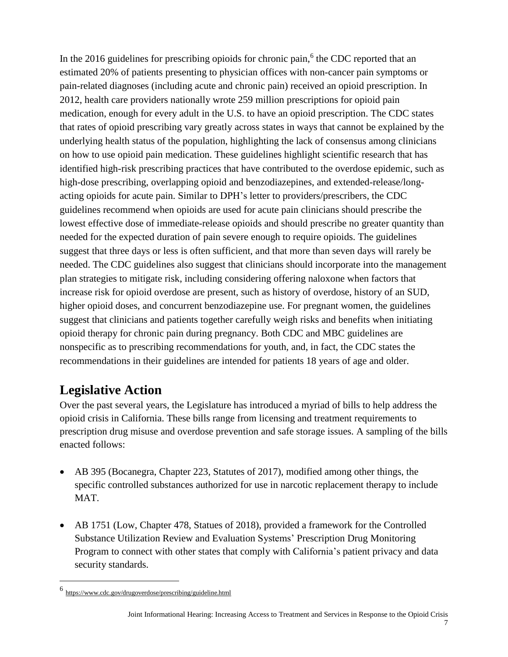In the 2016 guidelines for prescribing opioids for chronic pain,<sup>6</sup> the CDC reported that an estimated 20% of patients presenting to physician offices with non-cancer pain symptoms or pain-related diagnoses (including acute and chronic pain) received an opioid prescription. In 2012, health care providers nationally wrote 259 million prescriptions for opioid pain medication, enough for every adult in the U.S. to have an opioid prescription. The CDC states that rates of opioid prescribing vary greatly across states in ways that cannot be explained by the underlying health status of the population, highlighting the lack of consensus among clinicians on how to use opioid pain medication. These guidelines highlight scientific research that has identified high-risk prescribing practices that have contributed to the overdose epidemic, such as high-dose prescribing, overlapping opioid and benzodiazepines, and extended-release/longacting opioids for acute pain. Similar to DPH's letter to providers/prescribers, the CDC guidelines recommend when opioids are used for acute pain clinicians should prescribe the lowest effective dose of immediate-release opioids and should prescribe no greater quantity than needed for the expected duration of pain severe enough to require opioids. The guidelines suggest that three days or less is often sufficient, and that more than seven days will rarely be needed. The CDC guidelines also suggest that clinicians should incorporate into the management plan strategies to mitigate risk, including considering offering naloxone when factors that increase risk for opioid overdose are present, such as history of overdose, history of an SUD, higher opioid doses, and concurrent benzodiazepine use. For pregnant women, the guidelines suggest that clinicians and patients together carefully weigh risks and benefits when initiating opioid therapy for chronic pain during pregnancy. Both CDC and MBC guidelines are nonspecific as to prescribing recommendations for youth, and, in fact, the CDC states the recommendations in their guidelines are intended for patients 18 years of age and older.

# **Legislative Action**

Over the past several years, the Legislature has introduced a myriad of bills to help address the opioid crisis in California. These bills range from licensing and treatment requirements to prescription drug misuse and overdose prevention and safe storage issues. A sampling of the bills enacted follows:

- AB 395 (Bocanegra, Chapter 223, Statutes of 2017), modified among other things, the specific controlled substances authorized for use in narcotic replacement therapy to include MAT.
- AB 1751 (Low, Chapter 478, Statues of 2018), provided a framework for the Controlled Substance Utilization Review and Evaluation Systems' Prescription Drug Monitoring Program to connect with other states that comply with California's patient privacy and data security standards.

<sup>6</sup> <https://www.cdc.gov/drugoverdose/prescribing/guideline.html>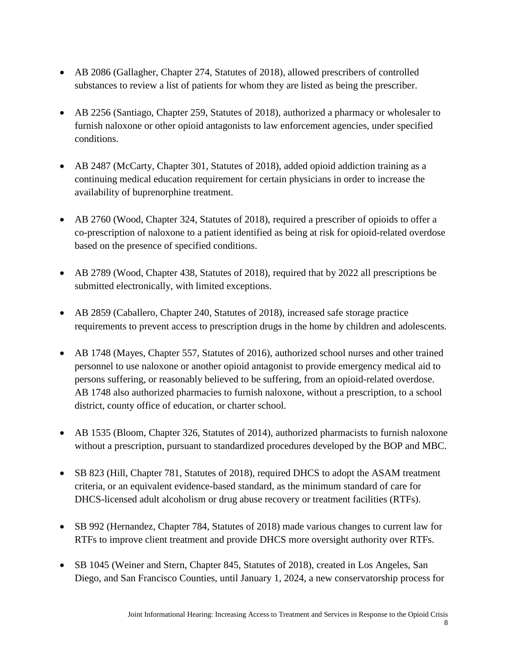- AB 2086 (Gallagher, Chapter 274, Statutes of 2018), allowed prescribers of controlled substances to review a list of patients for whom they are listed as being the prescriber.
- AB 2256 (Santiago, Chapter 259, Statutes of 2018), authorized a pharmacy or wholesaler to furnish naloxone or other opioid antagonists to law enforcement agencies, under specified conditions.
- AB 2487 (McCarty, Chapter 301, Statutes of 2018), added opioid addiction training as a continuing medical education requirement for certain physicians in order to increase the availability of buprenorphine treatment.
- AB 2760 (Wood, Chapter 324, Statutes of 2018), required a prescriber of opioids to offer a co-prescription of naloxone to a patient identified as being at risk for opioid-related overdose based on the presence of specified conditions.
- AB 2789 (Wood, Chapter 438, Statutes of 2018), required that by 2022 all prescriptions be submitted electronically, with limited exceptions.
- AB 2859 (Caballero, Chapter 240, Statutes of 2018), increased safe storage practice requirements to prevent access to prescription drugs in the home by children and adolescents.
- AB 1748 (Mayes, Chapter 557, Statutes of 2016), authorized school nurses and other trained personnel to use naloxone or another opioid antagonist to provide emergency medical aid to persons suffering, or reasonably believed to be suffering, from an opioid-related overdose. AB 1748 also authorized pharmacies to furnish naloxone, without a prescription, to a school district, county office of education, or charter school.
- AB 1535 (Bloom, Chapter 326, Statutes of 2014), authorized pharmacists to furnish naloxone without a prescription, pursuant to standardized procedures developed by the BOP and MBC.
- SB 823 (Hill, Chapter 781, Statutes of 2018), required DHCS to adopt the ASAM treatment criteria, or an equivalent evidence-based standard, as the minimum standard of care for DHCS-licensed adult alcoholism or drug abuse recovery or treatment facilities (RTFs).
- SB 992 (Hernandez, Chapter 784, Statutes of 2018) made various changes to current law for RTFs to improve client treatment and provide DHCS more oversight authority over RTFs.
- SB 1045 (Weiner and Stern, Chapter 845, Statutes of 2018), created in Los Angeles, San Diego, and San Francisco Counties, until January 1, 2024, a new conservatorship process for